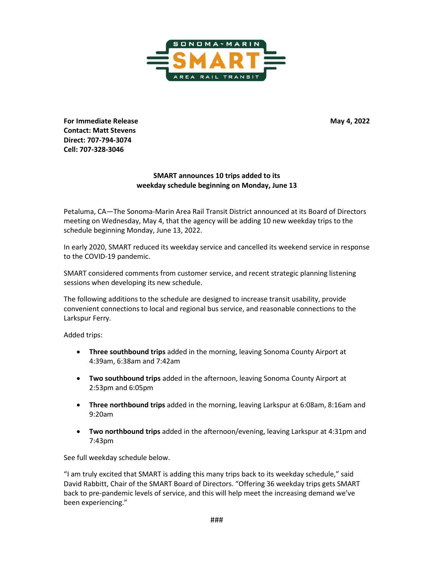

**For Immediate Release May 4, 2022 Contact: Matt Stevens Direct: 707-794-3074 Cell: 707-328-3046** 

## **SMART announces 10 trips added to its weekday schedule beginning on Monday, June 13**

Petaluma, CA—The Sonoma-Marin Area Rail Transit District announced at its Board of Directors meeting on Wednesday, May 4, that the agency will be adding 10 new weekday trips to the schedule beginning Monday, June 13, 2022.

In early 2020, SMART reduced its weekday service and cancelled its weekend service in response to the COVID-19 pandemic.

SMART considered comments from customer service, and recent strategic planning listening sessions when developing its new schedule.

The following additions to the schedule are designed to increase transit usability, provide convenient connections to local and regional bus service, and reasonable connections to the Larkspur Ferry.

Added trips:

- **Three southbound trips** added in the morning, leaving Sonoma County Airport at 4:39am, 6:38am and 7:42am
- **Two southbound trips** added in the afternoon, leaving Sonoma County Airport at 2:53pm and 6:05pm
- **Three northbound trips** added in the morning, leaving Larkspur at 6:08am, 8:16am and 9:20am
- **Two northbound trips** added in the afternoon/evening, leaving Larkspur at 4:31pm and 7:43pm

See full weekday schedule below.

"I am truly excited that SMART is adding this many trips back to its weekday schedule," said David Rabbitt, Chair of the SMART Board of Directors. "Offering 36 weekday trips gets SMART back to pre-pandemic levels of service, and this will help meet the increasing demand we've been experiencing."